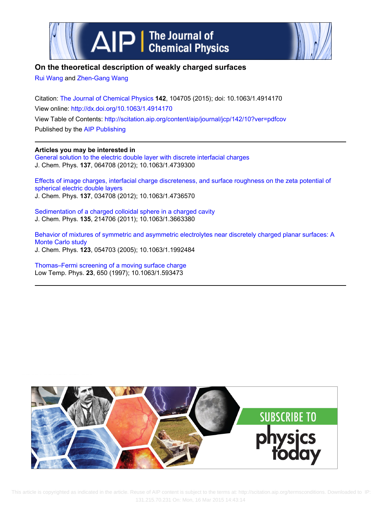



# **On the theoretical description of weakly charged surfaces**

[Rui Wang](http://scitation.aip.org/search?value1=Rui+Wang&option1=author) and [Zhen-Gang Wang](http://scitation.aip.org/search?value1=Zhen-Gang+Wang&option1=author)

Citation: [The Journal of Chemical Physics](http://scitation.aip.org/content/aip/journal/jcp?ver=pdfcov) **142**, 104705 (2015); doi: 10.1063/1.4914170 View online: <http://dx.doi.org/10.1063/1.4914170> View Table of Contents:<http://scitation.aip.org/content/aip/journal/jcp/142/10?ver=pdfcov> Published by the [AIP Publishing](http://scitation.aip.org/content/aip?ver=pdfcov)

# **Articles you may be interested in**

[General solution to the electric double layer with discrete interfacial charges](http://scitation.aip.org/content/aip/journal/jcp/137/6/10.1063/1.4739300?ver=pdfcov) J. Chem. Phys. **137**, 064708 (2012); 10.1063/1.4739300

[Effects of image charges, interfacial charge discreteness, and surface roughness on the zeta potential of](http://scitation.aip.org/content/aip/journal/jcp/137/3/10.1063/1.4736570?ver=pdfcov) [spherical electric double layers](http://scitation.aip.org/content/aip/journal/jcp/137/3/10.1063/1.4736570?ver=pdfcov) J. Chem. Phys. **137**, 034708 (2012); 10.1063/1.4736570

[Sedimentation of a charged colloidal sphere in a charged cavity](http://scitation.aip.org/content/aip/journal/jcp/135/21/10.1063/1.3663380?ver=pdfcov) J. Chem. Phys. **135**, 214706 (2011); 10.1063/1.3663380

[Behavior of mixtures of symmetric and asymmetric electrolytes near discretely charged planar surfaces: A](http://scitation.aip.org/content/aip/journal/jcp/123/5/10.1063/1.1992484?ver=pdfcov) [Monte Carlo study](http://scitation.aip.org/content/aip/journal/jcp/123/5/10.1063/1.1992484?ver=pdfcov) J. Chem. Phys. **123**, 054703 (2005); 10.1063/1.1992484

[Thomas–Fermi screening of a moving surface charge](http://scitation.aip.org/content/aip/journal/ltp/23/8/10.1063/1.593473?ver=pdfcov) Low Temp. Phys. **23**, 650 (1997); 10.1063/1.593473

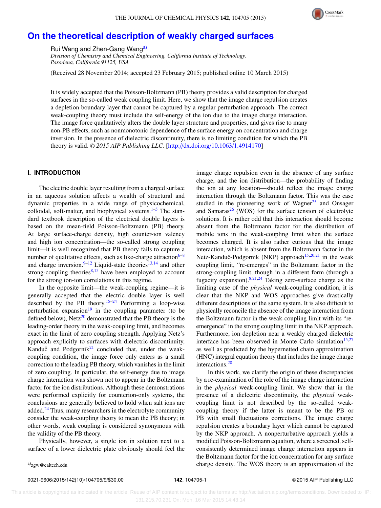

# **[On the theoretical description of weakly charged surfaces](http://dx.doi.org/10.1063/1.4914170)**

Rui Wang and Zhen-Gang Wang<sup>[a\)](#page-1-0)</sup>

*Division of Chemistry and Chemical Engineering, California Institute of Technology, Pasadena, California 91125, USA*

(Received 28 November 2014; accepted 23 February 2015; published online 10 March 2015)

It is widely accepted that the Poisson-Boltzmann (PB) theory provides a valid description for charged surfaces in the so-called weak coupling limit. Here, we show that the image charge repulsion creates a depletion boundary layer that cannot be captured by a regular perturbation approach. The correct weak-coupling theory must include the self-energy of the ion due to the image charge interaction. The image force qualitatively alters the double layer structure and properties, and gives rise to many non-PB effects, such as nonmonotonic dependence of the surface energy on concentration and charge inversion. In the presence of dielectric discontinuity, there is no limiting condition for which the PB theory is valid. <sup>C</sup> *2015 AIP Publishing LLC.* [\[http:](http://dx.doi.org/10.1063/1.4914170)//[dx.doi.org](http://dx.doi.org/10.1063/1.4914170)/[10.1063](http://dx.doi.org/10.1063/1.4914170)/[1.4914170\]](http://dx.doi.org/10.1063/1.4914170)

## **I. INTRODUCTION**

The electric double layer resulting from a charged surface in an aqueous solution affects a wealth of structural and dynamic properties in a wide range of physicochemical, colloidal, soft-matter, and biophysical systems. $1-5$  $1-5$  The standard textbook description of the electrical double layers is based on the mean-field Poisson-Boltzmann (PB) theory. At large surface-charge density, high counter-ion valency and high ion concentration—the so-called strong coupling limit—it is well recognized that PB theory fails to capture a number of qualitative effects, such as like-charge attraction $6-8$  $6-8$ and charge inversion. $9-12$  $9-12$  Liquid-state theories<sup>[13](#page-8-6)[,14](#page-8-7)</sup> and other strong-coupling theories $8,15$  $8,15$  have been employed to account for the strong ion-ion correlations in this regime.

In the opposite limit—the weak-coupling regime—it is generally accepted that the electric double layer is well described by the PB theory.<sup>[15](#page-8-8)[–24](#page-8-9)</sup> Performing a loop-wise perturbation expansion<sup>[19](#page-8-10)</sup> in the coupling parameter (to be defined below),  $Netz^{20}$  $Netz^{20}$  $Netz^{20}$  demonstrated that the PB theory is the leading-order theory in the weak-coupling limit, and becomes exact in the limit of zero coupling strength. Applying Netz's approach explicitly to surfaces with dielectric discontinuity, Kanduč and Podgornik<sup>[21](#page-8-12)</sup> concluded that, under the weakcoupling condition, the image force only enters as a small correction to the leading PB theory, which vanishes in the limit of zero coupling. In particular, the self-energy due to image charge interaction was shown not to appear in the Boltzmann factor for the ion distributions. Although these demonstrations were performed explicitly for counterion-only systems, the conclusions are generally believed to hold when salt ions are added.<sup>[24](#page-8-9)</sup> Thus, many researchers in the electrolyte community consider the weak-coupling theory to mean the PB theory; in other words, weak coupling is considered synonymous with the validity of the PB theory.

Physically, however, a single ion in solution next to a surface of a lower dielectric plate obviously should feel the

image charge repulsion even in the absence of any surface charge, and the ion distribution—the probability of finding the ion at any location—should reflect the image charge interaction through the Boltzmann factor. This was the case studied in the pioneering work of Wagner<sup>[25](#page-8-13)</sup> and Onsager and Samaras $^{26}$  $^{26}$  $^{26}$  (WOS) for the surface tension of electrolyte solutions. It is rather odd that this interaction should become absent from the Boltzmann factor for the distribution of mobile ions in the weak-coupling limit when the surface becomes charged. It is also rather curious that the image interaction, which is absent from the Boltzmann factor in the Netz-Kanduč-Podgornik (NKP) approach<sup>[15](#page-8-8)[,20](#page-8-11)[,21](#page-8-12)</sup> in the weak coupling limit, "re-emerges" in the Boltzmann factor in the strong-coupling limit, though in a different form (through a fugacity expansion).  $8,21,24$  $8,21,24$  $8,21,24$  Taking zero-surface charge as the limiting case of the *physical* weak-coupling condition, it is clear that the NKP and WOS approaches give drastically different descriptions of the same system. It is also difficult to physically reconcile the absence of the image interaction from the Boltzmann factor in the weak-coupling limit with its "reemergence" in the strong coupling limit in the NKP approach. Furthermore, ion depletion near a weakly charged dielectric interface has been observed in Monte Carlo simulation $15,27$  $15,27$ as well as predicted by the hypernetted chain approximation (HNC) integral equation theory that includes the image charge interactions.[28](#page-8-16)

In this work, we clarify the origin of these discrepancies by a re-examination of the role of the image charge interaction in the *physical* weak-coupling limit. We show that in the presence of a dielectric discontinuity, the *physical* weakcoupling limit is not described by the so-called weakcoupling theory if the latter is meant to be the PB or PB with small fluctuations corrections. The image charge repulsion creates a boundary layer which cannot be captured by the NKP approach. A nonperturbative approach yields a modified Poisson-Boltzmann equation, where a screened, selfconsistently determined image charge interaction appears in the Boltzmann factor for the ion concentration for any surface charge density. The WOS theory is an approximation of the

<span id="page-1-0"></span>a)[zgw@caltech.edu](mailto:zgw@caltech.edu)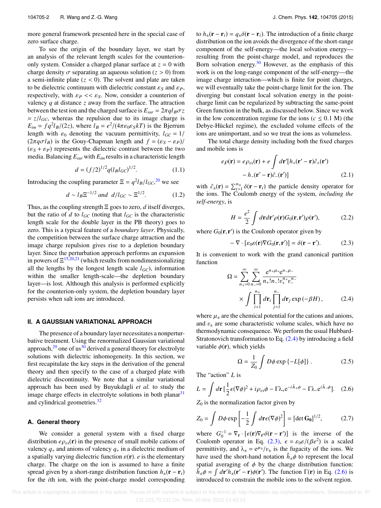more general framework presented here in the special case of zero surface charge.

To see the origin of the boundary layer, we start by an analysis of the relevant length scales for the counteriononly system. Consider a charged planar surface at  $z = 0$  with charge density  $\sigma$  separating an aqueous solution ( $z > 0$ ) from a semi-infinite plate  $(z < 0)$ . The solvent and plate are taken to be dielectric continuum with dielectric constant  $\varepsilon_S$  and  $\varepsilon_P$ , respectively, with  $\varepsilon_P \ll \varepsilon_S$ . Now, consider a counterion of valency *q* at distance *z* away from the surface. The attraction between the test ion and the charged surface is  $E_{sur} = 2\pi q l_B \sigma z$  $= z/l_{GC}$ , whereas the repulsion due to its image charge is  $E_{im} = f q^2 l_B/(2z)$ , where  $l_B = e^2/(4\pi \epsilon_0 \epsilon_S kT)$  is the Bjerrum<br>length with  $\epsilon_0$  denoting the vacuum permittivity  $l_B = 1/k$ length with  $\varepsilon_0$  denoting the vacuum permittivity,  $l_{GC} = 1/$  $(2\pi q \sigma l_B)$  is the Gouy-Chapman length and  $f = (\varepsilon_S - \varepsilon_P)$ /  $(\varepsilon_S + \varepsilon_P)$  represents the dielectric contrast between the two media. Balancing *Esur* with *Eim* results in a characteristic length

$$
d = (f/2)^{1/2} q (l_B l_{GC})^{1/2}.
$$
 (1.1)

Introducing the coupling parameter  $\Xi = q^2 l_B / l_{GC}^{20}$  $\Xi = q^2 l_B / l_{GC}^{20}$  $\Xi = q^2 l_B / l_{GC}^{20}$  we see

$$
d \sim l_B \Xi^{-1/2}
$$
 and  $d/l_{GC} \sim \Xi^{1/2}$ . (1.2)

Thus, as the coupling strength Ξ goes to zero, *d* itself diverges, but the ratio of *d* to  $l_{GC}$  (noting that  $l_{GC}$  is the characteristic length scale for the double layer in the PB theory) goes to zero. This is a typical feature of a *boundary layer*. Physically, the competition between the surface charge attraction and the image charge repulsion gives rise to a depletion boundary layer. Since the perturbation approach performs an expansion in powers of  $\Xi^{15,20,21}$  $\Xi^{15,20,21}$  $\Xi^{15,20,21}$  $\Xi^{15,20,21}$  $\Xi^{15,20,21}$  (which results from nondimensionalizing all the lengths by the longest length scale  $l_{GC}$ ), information within the smaller length-scale—the depletion boundary layer—is lost. Although this analysis is performed explicitly for the counterion-only system, the depletion boundary layer persists when salt ions are introduced.

#### **II. A GAUSSIAN VARIATIONAL APPROACH**

The presence of a boundary layer necessitates a nonperturbative treatment. Using the renormalized Gaussian variational approach, $^{29}$  $^{29}$  $^{29}$  one of us<sup>[30](#page-8-18)</sup> derived a general theory for electrolyte solutions with dielectric inhomogeneity. In this section, we first recapitulate the key steps in the derivation of the general theory and then specify to the case of a charged plate with dielectric discontinuity. We note that a similar variational approach has been used by Buyukdagli *et al.* to study the image charge effects in electrolyte solutions in both planar<sup>[31](#page-8-19)</sup> and cylindrical geometries.<sup>[32](#page-8-20)</sup>

## <span id="page-2-6"></span>**A. General theory**

We consider a general system with a fixed charge distribution  $e\rho_{ex}(\mathbf{r})$  in the presence of small mobile cations of valency  $q_+$  and anions of valency  $q_+$  in a dielectric medium of a spatially varying dielectric function  $\varepsilon(\mathbf{r})$ . *e* is the elementary charge. The charge on the ion is assumed to have a finite spread given by a short-range distribution function  $h_{+}(\mathbf{r} - \mathbf{r}_i)$ for the *i*th ion, with the point-charge model corresponding

to  $h_{\pm}(\mathbf{r}-\mathbf{r}_i) = q_{\pm}\delta(\mathbf{r}-\mathbf{r}_i)$ . The introduction of a finite charge distribution on the ion avoids the divergence of the short-range component of the self-energy—the local solvation energy resulting from the point-charge model, and reproduces the Born solvation energy.<sup>[30](#page-8-18)</sup> However, as the emphasis of this work is on the long-range component of the self-energy—the image charge interaction—which is finite for point charges, we will eventually take the point-charge limit for the ion. The diverging but constant local solvation energy in the pointcharge limit can be regularized by subtracting the same-point Green function in the bulk, as discussed below. Since we work in the low concentration regime for the ions ( $c \leq 0.1$  M) (the Debye-Hückel regime), the excluded volume effects of the ions are unimportant, and so we treat the ions as volumeless.

The total charge density including both the fixed charges and mobile ions is

$$
e\rho(\mathbf{r}) = e\rho_{ex}(\mathbf{r}) + e \int d\mathbf{r}' [h_{+}(\mathbf{r}' - \mathbf{r})\hat{c}_{+}(\mathbf{r}')
$$

$$
-h_{-}(\mathbf{r}' - \mathbf{r})\hat{c}_{-}(\mathbf{r}')] \qquad (2.1)
$$

<span id="page-2-5"></span><span id="page-2-4"></span>with  $\hat{c}_{\pm}(\mathbf{r}) = \sum_{i=1}^{n_{\pm}} \delta(\mathbf{r} - \mathbf{r}_i)$  the particle density operator for the ions. The Coulomb energy of the system *including the* the ions. The Coulomb energy of the system, *including the self-energy*, is

$$
H = \frac{e^2}{2} \int d\mathbf{r} d\mathbf{r}' \rho(\mathbf{r}) G_0(\mathbf{r}, \mathbf{r}') \rho(\mathbf{r}'), \tag{2.2}
$$

where  $G_0(\mathbf{r}, \mathbf{r}')$  is the Coulomb operator given by

<span id="page-2-1"></span>
$$
-\nabla \cdot \left[\varepsilon_0 \varepsilon(\mathbf{r}) \nabla G_0(\mathbf{r}, \mathbf{r}')\right] = \delta(\mathbf{r} - \mathbf{r}'). \tag{2.3}
$$

It is convenient to work with the grand canonical partition function

<span id="page-2-0"></span>
$$
\Omega = \sum_{n_{+}=0}^{\infty} \sum_{n_{-}=0}^{\infty} \frac{e^{n_{+}\mu_{+}}e^{n_{-}\mu_{-}}}{n_{+}!n_{-}!v_{+}^{n_{+}}v_{-}^{n_{-}}}
$$

$$
\times \int \prod_{i=1}^{n_{+}} d\mathbf{r}_{i} \prod_{j=1}^{n_{-}} d\mathbf{r}_{j} \exp(-\beta H), \qquad (2.4)
$$

where  $\mu_{\pm}$  are the chemical potential for the cations and anions, and  $v_{\pm}$  are some characteristic volume scales, which have no thermodynamic consequence. We perform the usual Hubbard-Stratonovich transformation to Eq. [\(2.4\)](#page-2-0) by introducing a field variable  $\phi(\mathbf{r})$ , which yields

<span id="page-2-3"></span><span id="page-2-2"></span>
$$
\Omega = \frac{1}{Z_0} \int D\phi \exp\left\{-L[\phi]\right\}.
$$
 (2.5)

The "action" *L* is

$$
L = \int d\mathbf{r} \left[ \frac{1}{2} \epsilon (\nabla \phi)^2 + i \rho_{ex} \phi - \Gamma \lambda_+ e^{-i \hat{h}_+ \phi} - \Gamma \lambda_- e^{i \hat{h}_- \phi} \right]. \tag{2.6}
$$

 $Z_0$  is the normalization factor given by  $\overline{a}$ 

$$
Z_0 = \int D\phi \exp\left[-\frac{1}{2}\int d\mathbf{r}\epsilon (\nabla \phi)^2\right] = \left[\det \mathbf{G_0}\right]^{1/2},\tag{2.7}
$$

where  $G_0^{-1} = \nabla_{\mathbf{r}} \cdot [\epsilon(\mathbf{r}) \nabla_{\mathbf{r}} \delta(\mathbf{r} - \mathbf{r}')]$  is the inverse of the Coulomb operator in Eq. (2.3)  $\epsilon = \frac{\epsilon_0 \epsilon}{(\beta e^2)}$  is a scaled Coulomb operator in Eq. [\(2.3\),](#page-2-1)  $\epsilon = \varepsilon_0 \varepsilon / (\beta e^2)$  is a scaled<br>permittivity and  $\lambda = e^{\mu \pm \beta}$  is the fugacity of the ions. permittivity, and  $\lambda_{\pm} = e^{\mu_{\pm}}/v_{\pm}$  is the fugacity of the ions. We have used the short-hand notation  $\hat{h}$  d to represent the local have used the short-hand notation  $\hat{h}_{\pm}\phi$  to represent the local spatial averaging of  $\phi$  by the charge distribution function: spatial averaging of  $\phi$  by the charge distribution function:  $\hat{h}_{\pm} \phi = \int d\mathbf{r}' h_{\pm} (\mathbf{r}' - \mathbf{r}) \phi(\mathbf{r}')$ . The function  $\Gamma(\mathbf{r})$  in Eq. [\(2.6\)](#page-2-2) is introduced to constrain the mobile ions to the solvent region introduced to constrain the mobile ions to the solvent region.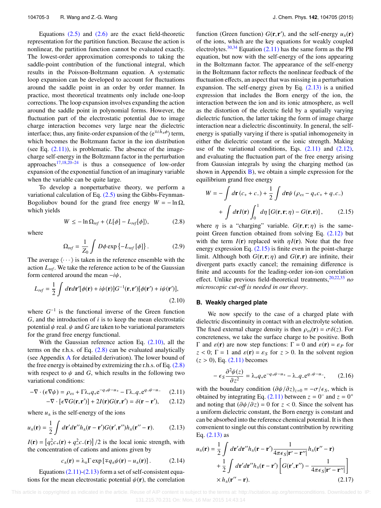Equations  $(2.5)$  and  $(2.6)$  are the exact field-theoretic representation for the partition function. Because the action is nonlinear, the partition function cannot be evaluated exactly. The lowest-order approximation corresponds to taking the saddle-point contribution of the functional integral, which results in the Poisson-Boltzmann equation. A systematic loop expansion can be developed to account for fluctuations around the saddle point in an order by order manner. In practice, most theoretical treatments only include one-loop corrections. The loop expansion involves expanding the action around the saddle point in polynomial forms. However, the fluctuation part of the electrostatic potential due to image charge interaction becomes very large near the dielectric interface; thus, any finite-order expansion of the  $\langle e^{\pm i \hat{h}_\pm \phi} \rangle$  term, which becomes the Boltzmann factor in the ion distribution (see Eq.  $(2.11)$ ), is problematic. The absence of the imagecharge self-energy in the Boltzmann factor in the perturbation approaches<sup>[17,](#page-8-21)[18](#page-8-22)[,20–](#page-8-11)[24](#page-8-9)</sup> is thus a consequence of low-order expansion of the exponential function of an imaginary variable when the variable can be quite large.

To develop a nonperturbative theory, we perform a variational calculation of Eq.  $(2.5)$  using the Gibbs-Feynman-Bogoliubov bound for the grand free energy  $W = -\ln \Omega$ , which yields

where

$$
\Omega_{ref} = \frac{1}{Z_0} \int D\phi \exp\left\{-L_{ref}[\phi]\right\}.
$$
 (2.9)

 $W \le -\ln \Omega_{ref} + \langle L[\phi] - L_{ref}[\phi] \rangle,$  (2.8)

The average  $\langle \cdots \rangle$  is taken in the reference ensemble with the action  $L_{ref}$ . We take the reference action to be of the Gaussian form centered around the mean <sup>−</sup>*i*ψ,

$$
L_{ref} = \frac{1}{2} \int d\mathbf{r} d\mathbf{r}' [\phi(\mathbf{r}) + i\psi(\mathbf{r})] G^{-1}(\mathbf{r}, \mathbf{r}') [\phi(\mathbf{r}') + i\psi(\mathbf{r}')] ,
$$
\n(2.10)

where  $G^{-1}$  is the functional inverse of the Green function *G*, and the introduction of *i* is to keep the mean electrostatic potential  $\psi$  real.  $\psi$  and *G* are taken to be variational parameters for the grand free energy functional.

With the Gaussian reference action Eq. [\(2.10\),](#page-3-1) all the terms on the r.h.s. of Eq.  $(2.8)$  can be evaluated analytically (see Appendix [A](#page-7-0) for detailed derivation). The lower bound of the free energy is obtained by extremizing the r.h.s. of Eq.  $(2.8)$ with respect to  $\psi$  and *G*, which results in the following two variational conditions:

$$
-\nabla \cdot (\epsilon \nabla \psi) = \rho_{ex} + \Gamma \lambda_+ q_+ e^{-q_+ \psi - u_+} - \Gamma \lambda_- q_- e^{q_- \psi - u_-}
$$
 (2.11)

$$
-\nabla \cdot \left[\epsilon \nabla G(\mathbf{r}, \mathbf{r}')\right] + 2I(\mathbf{r})G(\mathbf{r}, \mathbf{r}') = \delta(\mathbf{r} - \mathbf{r}'),\qquad(2.12)
$$

where  $u_{\pm}$  is the self-energy of the ions

$$
u_{\pm}(\mathbf{r}) = \frac{1}{2} \int d\mathbf{r}' d\mathbf{r}'' h_{\pm}(\mathbf{r} - \mathbf{r}') G(\mathbf{r}', \mathbf{r}'') h_{\pm}(\mathbf{r}'' - \mathbf{r}). \tag{2.13}
$$

 $I(\mathbf{r}) = [q_+^2 c_+(\mathbf{r}) + q_-^2 c_-(\mathbf{r})]$  $/2$  is the local ionic strength, with  $\frac{1}{2}$  and anions given by the concentration of cations and anions given by

$$
c_{\pm}(\mathbf{r}) = \lambda_{\pm} \Gamma \exp \left[ \mp q_{\pm} \psi(\mathbf{r}) - u_{\pm}(\mathbf{r}) \right]. \tag{2.14}
$$

Equations  $(2.11)-(2.13)$  $(2.11)-(2.13)$  form a set of self-consistent equations for the mean electrostatic potential  $\psi(\mathbf{r})$ , the correlation

function (Green function)  $G(\mathbf{r}, \mathbf{r}')$ , and the self-energy  $u_{\pm}(\mathbf{r})$ <br>of the jons, which are the key equations for weakly counseled of the ions, which are the key equations for weakly coupled electrolytes.<sup>[30](#page-8-18)[,34](#page-8-23)</sup> Equation [\(2.11\)](#page-3-0) has the same form as the PB equation, but now with the self-energy of the ions appearing in the Boltzmann factor. The appearance of the self-energy in the Boltzmann factor reflects the nonlinear feedback of the fluctuation effects, an aspect that was missing in a perturbation expansion. The self-energy given by Eq.  $(2.13)$  is a unified expression that includes the Born energy of the ion, the interaction between the ion and its ionic atmosphere, as well as the distortion of the electric field by a spatially varying dielectric function, the latter taking the form of image charge interaction near a dielectric discontinuity. In general, the selfenergy is spatially varying if there is spatial inhomogeneity in either the dielectric constant or the ionic strength. Making use of the variational conditions, Eqs.  $(2.11)$  and  $(2.12)$ , and evaluating the fluctuation part of the free energy arising from Gaussian integrals by using the charging method (as shown in Appendix  $B$ ), we obtain a simple expression for the equilibrium grand free energy

<span id="page-3-5"></span>
$$
W = -\int d\mathbf{r} (c_{+} + c_{-}) + \frac{1}{2} \int d\mathbf{r} \psi (\rho_{ex} - q_{+}c_{+} + q_{-}c_{-})
$$

$$
+ \int d\mathbf{r} I(\mathbf{r}) \int_{0}^{1} d\eta \left[ G(\mathbf{r}, \mathbf{r}; \eta) - G(\mathbf{r}, \mathbf{r}) \right], \qquad (2.15)
$$

<span id="page-3-2"></span>where  $\eta$  is a "charging" variable.  $G(\mathbf{r}, \mathbf{r}; \eta)$  is the same-point Green function obtained from solving Eq. [\(2.12\)](#page-3-4) but with the term  $I(\mathbf{r})$  replaced with  $\eta I(\mathbf{r})$ . Note that the free energy expression Eq.  $(2.15)$  is finite even in the point-charge limit. Although both  $G(\mathbf{r}, \mathbf{r}; \eta)$  and  $G(\mathbf{r}, \mathbf{r})$  are infinite, their divergent parts exactly cancel; the remaining difference is finite and accounts for the leading-order ion-ion correlation effect. Unlike previous field-theoretical treatments,<sup>[20,](#page-8-11)[22](#page-8-25)[,33](#page-8-26)</sup> no *microscopic cut-o*ff *is needed in our theory*.

## <span id="page-3-1"></span>**B. Weakly charged plate**

We now specify to the case of a charged plate with dielectric discontinuity in contact with an electrolyte solution. The fixed external charge density is then  $\rho_{ex}(\mathbf{r}) = \sigma \delta(z)$ . For concreteness, we take the surface charge to be positive. Both Γ and  $\varepsilon(\mathbf{r})$  are now step functions:  $\Gamma = 0$  and  $\varepsilon(\mathbf{r}) = \varepsilon_P$  for  $z < 0$ ;  $\Gamma = 1$  and  $\varepsilon(\mathbf{r}) = \varepsilon_S$  for  $z > 0$ . In the solvent region  $(z > 0)$ , Eq.  $(2.11)$  becomes

$$
-\epsilon_S \frac{\partial^2 \psi(z)}{\partial z^2} = \lambda_+ q_+ e^{-q_+ \psi - u_+} - \lambda_- q_- e^{q_- \psi - u_-}, \qquad (2.16)
$$

<span id="page-3-4"></span><span id="page-3-0"></span>with the boundary condition  $(\partial \psi / \partial z)_{z=0} = -\sigma / \epsilon_s$ , which is obtained by integrating Eq. (2.11) between  $z = 0^-$  and  $z = 0^+$ obtained by integrating Eq.  $(2.11)$  between  $z = 0^-$  and  $z = 0^+$ and noting that  $\left(\frac{\partial \psi}{\partial z}\right) = 0$  for  $z < 0$ . Since the solvent has a uniform dielectric constant, the Born energy is constant and can be absorbed into the reference chemical potential. It is then convenient to single out this constant contribution by rewriting Eq. [\(2.13\)](#page-3-3) as

<span id="page-3-6"></span><span id="page-3-3"></span>
$$
u_{\pm}(\mathbf{r}) = \frac{1}{2} \int d\mathbf{r}' d\mathbf{r}'' h_{\pm}(\mathbf{r} - \mathbf{r}') \frac{1}{4\pi\epsilon_S |\mathbf{r}' - \mathbf{r}''|} h_{\pm}(\mathbf{r}'' - \mathbf{r})
$$
  
+ 
$$
\frac{1}{2} \int d\mathbf{r}' d\mathbf{r}'' h_{\pm}(\mathbf{r} - \mathbf{r}') \left[ G(\mathbf{r}', \mathbf{r}'') - \frac{1}{4\pi\epsilon_S |\mathbf{r}' - \mathbf{r}''|} \right]
$$
  
×  $h_{\pm}(\mathbf{r}'' - \mathbf{r}).$  (2.17)

This article is copyrighted as indicated in the article. Reuse of AIP content is subject to the terms at: http://scitation.aip.org/termsconditions. Downloaded to IP: 131.215.70.231 On: Mon, 16 Mar 2015 14:43:14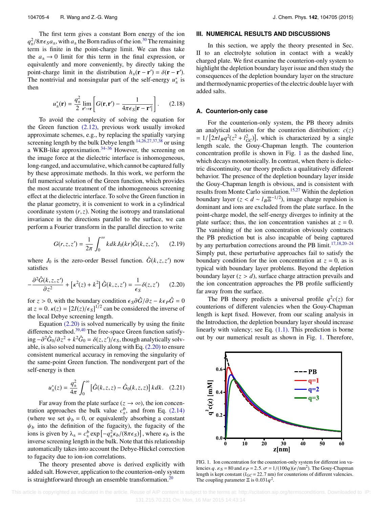The first term gives a constant Born energy of the ion  $q_{\pm}^2/8\pi\epsilon_S a_{\pm}$ , with  $a_{\pm}$  the Born radius of the ion.<sup>[30](#page-8-18)</sup> The remaining<br>term is finite in the point-charge limit. We can thus take term is finite in the point-charge limit. We can thus take the  $a_{+} \rightarrow 0$  limit for this term in the final expression, or equivalently and more conveniently, by directly taking the point-charge limit in the distribution  $h_{\pm}(\mathbf{r} - \mathbf{r}') = \delta(\mathbf{r} - \mathbf{r}')$ .<br>The nontrivial and nonsingular part of the self-energy  $u^*$  is The nontrivial and nonsingular part of the self-energy  $u^*_{\pm}$  is then

$$
u_{\pm}^*(\mathbf{r}) = \frac{q_{\pm}^2}{2} \lim_{\mathbf{r}' \to \mathbf{r}} \left[ G(\mathbf{r}, \mathbf{r}') - \frac{1}{4\pi\epsilon_S |\mathbf{r} - \mathbf{r}'|} \right].
$$
 (2.18)

To avoid the complexity of solving the equation for the Green function  $(2.12)$ , previous work usually invoked approximate schemes, e.g., by replacing the spatially varying screening length by the bulk Debye length  $14,26,27,37,38$  $14,26,27,37,38$  $14,26,27,37,38$  $14,26,27,37,38$  $14,26,27,37,38$  or using a WKB-like approximation. $34-36$  $34-36$  However, the screening on the image force at the dielectric interface is inhomogeneous, long-ranged, and accumulative, which cannot be captured fully by these approximate methods. In this work, we perform the full numerical solution of the Green function, which provides the most accurate treatment of the inhomogeneous screening effect at the dielectric interface. To solve the Green function in the planar geometry, it is convenient to work in a cylindrical coordinate system (*r*,*z*). Noting the isotropy and translational invariance in the directions parallel to the surface, we can perform a Fourier transform in the parallel direction to write

$$
G(r, z, z') = \frac{1}{2\pi} \int_0^\infty k \, dk \, J_0(kr) \hat{G}(k, z, z'), \qquad (2.19)
$$

where  $J_0$  is the zero-order Bessel function.  $\hat{G}(k, z, z')$  now estisfies satisfies

$$
-\frac{\partial^2 \hat{G}(k, z, z')}{\partial z^2} + \left[\kappa^2(z) + k^2\right] \hat{G}(k, z, z') = \frac{1}{\epsilon_S} \delta(z, z') \tag{2.20}
$$

for *z* > 0, with the boundary condition  $\epsilon_S \partial \hat{G}/\partial z - k \epsilon_P \hat{G} = 0$ <br>at *z* − 0,  $\nu(z)$  =  $[2I(z)]\epsilon_S]^{1/2}$  can be considered the inverse of at  $z = 0$ .  $\kappa(z) = [2I(z)/\epsilon_S]^{1/2}$  can be considered the inverse of the local Debye screening length.

Equation  $(2.20)$  is solved numerically by using the finite difference method.<sup>[39](#page-9-0)[,40](#page-9-1)</sup> The free-space Green function satisfying  $-\frac{\partial^2 G_0}{\partial z^2} + k^2 \hat{G}_0 = \frac{\delta(z, z')}{\epsilon_S}$ , though analytically solve-<br>able is also solved numerically along with Eq. (2.20) to ensure able, is also solved numerically along with Eq. [\(2.20\)](#page-4-0) to ensure consistent numerical accuracy in removing the singularity of the same-point Green function. The nondivergent part of the self-energy is then

$$
u_{\pm}^{*}(z) = \frac{q_{\pm}^{2}}{4\pi} \int_{0}^{\infty} \left[ \hat{G}(k, z, z) - \hat{G}_{0}(k, z, z) \right] k dk. \quad (2.21)
$$

Far away from the plate surface ( $z \rightarrow \infty$ ), the ion concentration approaches the bulk value  $c_{\pm}^{b}$ , and from Eq. [\(2.14\)](#page-3-6) (where we set  $\psi_b = 0$ , or equivalently absorbing a constant  $\psi_b$  into the definition of the fugacity), the fugacity of the ions is given by  $\lambda = c^b \exp[-a^2 \kappa, l(8\pi\epsilon_0)]$  where  $\kappa$ , is the  $\psi_b$  into the definition of the<br>ions is given by  $\lambda_{\pm} = c_{\pm}^b \exp \left[ \frac{\mu_b}{\sigma_b} \right]$  $-q_\pm^2 \kappa_b/(8\pi\epsilon_s)$ , where  $\kappa_b$  is the inverse screening length in the bulk. Note that this relationship automatically takes into account the Debye-Hückel correction to fugacity due to ion-ion correlations.

The theory presented above is derived explicitly with added salt. However, application to the counterion-only system is straightforward through an ensemble transformation. $^{20}$  $^{20}$  $^{20}$ 

### **III. NUMERICAL RESULTS AND DISCUSSIONS**

In this section, we apply the theory presented in Sec. II to an electrolyte solution in contact with a weakly charged plate. We first examine the counterion-only system to highlight the depletion boundary layer issue and then study the consequences of the depletion boundary layer on the structure and thermodynamic properties of the electric double layer with added salts.

#### <span id="page-4-2"></span>**A. Counterion-only case**

For the counterion-only system, the PB theory admits an analytical solution for the counterion distribution:  $c(z)$  $= 1/[2\pi l_B q^2(z^2 + l_{GC}^2)]$ , which is characterized by a single<br>length scale, the Gouy-Chapman length. The counterion length scale, the Gouy-Chapman length. The counterion concentration profile is shown in Fig. [1](#page-4-1) as the dashed line, which decays monotonically. In contrast, when there is dielectric discontinuity, our theory predicts a qualitatively different behavior. The presence of the depletion boundary layer inside the Gouy-Chapman length is obvious, and is consistent with results from Monte Carlo simulation.<sup>[15](#page-8-8)[,27](#page-8-15)</sup> Within the depletion boundary layer ( $z < d \sim l_B \Xi^{-1/2}$ ), image charge repulsion is<br>dominant and ions are excluded from the plate surface. In the dominant and ions are excluded from the plate surface. In the point-charge model, the self-energy diverges to infinity at the plate surface; thus, the ion concentration vanishes at  $z = 0$ . The vanishing of the ion concentration obviously contracts the PB prediction but is also incapable of being captured by any perturbation corrections around the PB limit.<sup>[17,](#page-8-21)[18,](#page-8-22)[20–](#page-8-11)[24](#page-8-9)</sup> Simply put, these perturbative approaches fail to satisfy the boundary condition for the ion concentration at  $z = 0$ , as is typical with boundary layer problems. Beyond the depletion boundary layer  $(z > d)$ , surface charge attraction prevails and the ion concentration approaches the PB profile sufficiently far away from the surface.

<span id="page-4-0"></span>The PB theory predicts a universal profile  $q^2c(z)$  for counterions of different valencies when the Gouy-Chapman length is kept fixed. However, from our scaling analysis in the Introduction, the depletion boundary layer should increase linearly with valency; see Eq. [\(1.1\).](#page-2-4) This prediction is borne out by our numerical result as shown in Fig. [1.](#page-4-1) Therefore,

<span id="page-4-1"></span>

FIG. 1. Ion concentration for the counterion-only system for different ion valencies  $q$ ,  $\varepsilon_S = 80$  and  $\varepsilon_P = 2.5$ .  $\sigma = 1/(100q)(e/nm^2)$ . The Gouy-Chapman length is kept constant  $(l_{CCT} - 22.7 \text{ nm})$  for counterions of different valencies length is kept constant  $(l_{GC} = 22.7 \text{ nm})$  for counterions of different valencies. The coupling parameter  $\Xi$  is  $0.031q^2$ .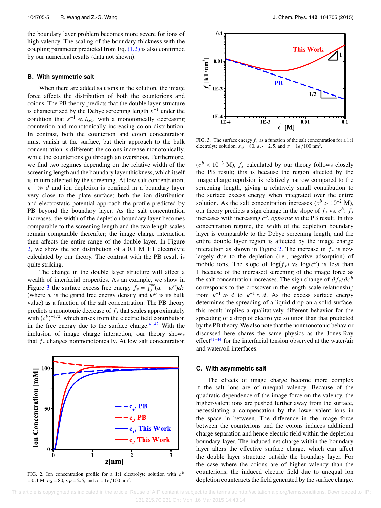the boundary layer problem becomes more severe for ions of high valency. The scaling of the boundary thickness with the coupling parameter predicted from Eq. [\(1.2\)](#page-2-5) is also confirmed by our numerical results (data not shown).

#### **B. With symmetric salt**

When there are added salt ions in the solution, the image force affects the distribution of both the counterions and coions. The PB theory predicts that the double layer structure is characterized by the Debye screening length  $\kappa^{-1}$  under the condition that  $\kappa^{-1} \ll \log n$  with a monotonically decreasing condition that  $\kappa^{-1} \ll l_{GC}$ , with a monotonically decreasing<br>counterion and monotonically increasing cojon distribution counterion and monotonically increasing coion distribution. In contrast, both the counterion and coion concentration must vanish at the surface, but their approach to the bulk concentration is different: the coions increase monotonically, while the counterions go through an overshoot. Furthermore, we find two regimes depending on the relative width of the screening length and the boundary layer thickness, which itself is in turn affected by the screening. At low salt concentration, very close to the plate surface; both the ion distribution  $\kappa^{-1} \gg d$  and ion depletion is confined in a boundary layer and electrostatic potential approach the profile predicted by PB beyond the boundary layer. As the salt concentration increases, the width of the depletion boundary layer becomes comparable to the screening length and the two length scales remain comparable thereafter; the image charge interaction then affects the entire range of the double layer. In Figure [2,](#page-5-0) we show the ion distribution of a 0.1 M 1:1 electrolyte calculated by our theory. The contrast with the PB result is quite striking.

The change in the double layer structure will affect a wealth of interfacial properties. As an example, we show in Figure [3](#page-5-1) the surface excess free energy  $f_s = \int_0^\infty (w - w^b) dz$ <br>(where w is the grand free energy density and  $w^b$  is its bulk (where w is the grand free energy density and  $\overline{w}^b$  is its bulk<br>value) as a function of the salt concentration. The PB theory value) as a function of the salt concentration. The PB theory predicts a monotonic decrease of  $f_s$  that scales approximately with  $(c^b)^{-1/2}$ , which arises from the electric field contribution in the free energy due to the surface charge. $41,42$  $41,42$  With the inclusion of image charge interaction, our theory shows that  $f_s$  changes nonmonotonically. At low salt concentration

<span id="page-5-0"></span>

FIG. 2. Ion concentration profile for a 1:1 electrolyte solution with  $c<sup>b</sup>$  $= 0.1$  M.  $\varepsilon_S = 80$ ,  $\varepsilon_P = 2.5$ , and  $\sigma = 1e/100$  nm<sup>2</sup>.

<span id="page-5-1"></span>

FIG. 3. The surface energy  $f_s$  as a function of the salt concentration for a 1:1 electrolyte solution.  $\varepsilon_S = 80$ ,  $\varepsilon_P = 2.5$ , and  $\sigma = 1e/100$  nm<sup>2</sup>.

 $(c^b < 10^{-3}$  M),  $f_s$  calculated by our theory follows closely the **PR** result; this is because the region affected by the the PB result; this is because the region affected by the image charge repulsion is relatively narrow compared to the screening length, giving a relatively small contribution to the surface excess energy when integrated over the entire solution. As the salt concentration increases  $(c^b > 10^{-2} M)$ ,<br>our theory predicts a sign change in the slope of f, ys,  $c^b$ , f our theory predicts a sign change in the slope of  $f_s$  vs.  $c^b$ :  $f_s$ increases with increasing  $c^b$ , *opposite to* the PB result. In this concentration regime, the width of the depletion boundary layer is comparable to the Debye screening length, and the entire double layer region is affected by the image charge interaction as shown in Figure [2.](#page-5-0) The increase in  $f_s$  is now largely due to the depletion (i.e., negative adsorption) of mobile ions. The slope of  $log(f_s)$  vs  $log(c^b)$  is less than 1 because of the increased screening of the image force as the salt concentration increases. The sign change of  $\partial f_s/\partial c^b$ <br>corresponds to the crossover in the length scale relationship corresponds to the crossover in the length scale relationship from  $\kappa^{-1} \gg d$  to  $\kappa^{-1} \approx d$ . As the excess surface energy<br>determines the spreading of a liquid drop on a solid surface determines the spreading of a liquid drop on a solid surface, this result implies a qualitatively different behavior for the spreading of a drop of electrolyte solution than that predicted by the PB theory. We also note that the nonmonotonic behavior discussed here shares the same physics as the Jones-Ray effect<sup>[41](#page-9-2)[–44](#page-9-4)</sup> for the interfacial tension observed at the water/air and water/oil interfaces.

#### **C. With asymmetric salt**

The effects of image charge become more complex if the salt ions are of unequal valency. Because of the quadratic dependence of the image force on the valency, the higher-valent ions are pushed further away from the surface, necessitating a compensation by the lower-valent ions in the space in between. The difference in the image force between the counterions and the coions induces additional charge separation and hence electric field within the depletion boundary layer. The induced net charge within the boundary layer alters the effective surface charge, which can affect the double layer structure outside the boundary layer. For the case where the coions are of higher valency than the counterions, the induced electric field due to unequal ion depletion counteracts the field generated by the surface charge.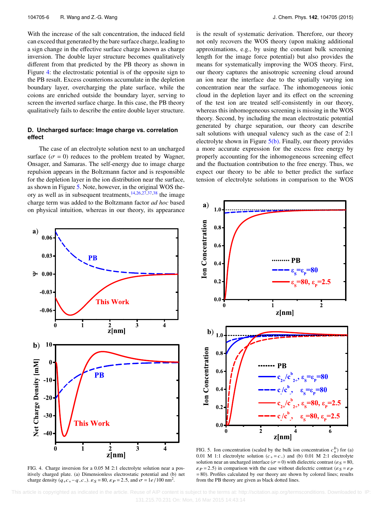With the increase of the salt concentration, the induced field can exceed that generated by the bare surface charge, leading to a sign change in the effective surface charge known as charge inversion. The double layer structure becomes qualitatively different from that predicted by the PB theory as shown in Figure [4:](#page-6-0) the electrostatic potential is of the opposite sign to the PB result. Excess counterions accumulate in the depletion boundary layer, overcharging the plate surface, while the coions are enriched outside the boundary layer, serving to screen the inverted surface charge. In this case, the PB theory qualitatively fails to describe the entire double layer structure.

## **D. Uncharged surface: Image charge vs. correlation effect**

The case of an electrolyte solution next to an uncharged surface  $(\sigma = 0)$  reduces to the problem treated by Wagner, Onsager, and Samaras. The self-energy due to image charge repulsion appears in the Boltzmann factor and is responsible for the depletion layer in the ion distribution near the surface, as shown in Figure [5.](#page-6-1) Note, however, in the original WOS theory as well as in subsequent treatments, $14,26,27,37,38$  $14,26,27,37,38$  $14,26,27,37,38$  $14,26,27,37,38$  $14,26,27,37,38$  the image charge term was added to the Boltzmann factor *ad hoc* based on physical intuition, whereas in our theory, its appearance

is the result of systematic derivation. Therefore, our theory not only recovers the WOS theory (upon making additional approximations, e.g., by using the constant bulk screening length for the image force potential) but also provides the means for systematically improving the WOS theory. First, our theory captures the anisotropic screening cloud around an ion near the interface due to the spatially varying ion concentration near the surface. The inhomogeneous ionic cloud in the depletion layer and its effect on the screening of the test ion are treated self-consistently in our theory, whereas this inhomogeneous screening is missing in the WOS theory. Second, by including the mean electrostatic potential generated by charge separation, our theory can describe salt solutions with unequal valency such as the case of 2:1 electrolyte shown in Figure  $5(b)$ . Finally, our theory provides a more accurate expression for the excess free energy by properly accounting for the inhomogeneous screening effect and the fluctuation contribution to the free energy. Thus, we expect our theory to be able to better predict the surface tension of electrolyte solutions in comparison to the WOS

<span id="page-6-0"></span>

FIG. 4. Charge inversion for a 0.05 M 2:1 electrolyte solution near a positively charged plate. (a) Dimensionless electrostatic potential and (b) net charge density  $(q_{+}c_{+}-q_{-}c_{-})$ .  $\varepsilon_S = 80$ ,  $\varepsilon_P = 2.5$ , and  $\sigma = 1e/100$  nm<sup>2</sup>.

<span id="page-6-1"></span>

FIG. 5. Ion concentration (scaled by the bulk ion concentration  $c_{\pm}^{b}$ ) for (a) 0.01 M 1:1 electrolyte solution ( $c_{+} = c_{-}$ ) and (b) 0.01 M 2:1 electrolyte solution near an uncharged interface ( $\sigma = 0$ ) with dielectric contrast ( $\varepsilon_S = 80$ ,  $\varepsilon_P$  = 2.5) in comparison with the case without dielectric contrast ( $\varepsilon_S = \varepsilon_P$ = 80). Profiles calculated by our theory are shown by colored lines; results from the PB theory are given as black dotted lines.

 This article is copyrighted as indicated in the article. Reuse of AIP content is subject to the terms at: http://scitation.aip.org/termsconditions. Downloaded to IP: 131.215.70.231 On: Mon, 16 Mar 2015 14:43:14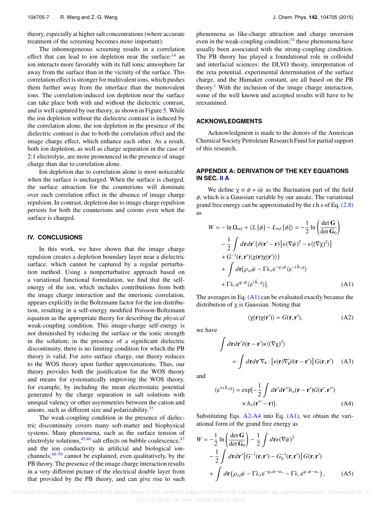theory, especially at higher salt concentrations (where accurate treatment of the screening becomes more important).

The inhomogeneous screening results in a correlation effect that can lead to ion depletion near the surface: $14$  an ion interacts more favorably with its full ionic atmosphere far away from the surface than in the vicinity of the surface. This correlation effect is stronger for multivalent ions, which pushes them further away from the interface than the monovalent ions. The correlation-induced ion depletion near the surface can take place both with and without the dielectric contrast, and is well captured by our theory, as shown in Figure [5.](#page-6-1) While the ion depletion without the dielectric contrast is induced by the correlation alone, the ion depletion in the presence of the dielectric contrast is due to both the correlation effect and the image charge effect, which enhance each other. As a result, both ion depletion, as well as charge separation in the case of 2:1 electrolyte, are more pronounced in the presence of image charge than due to correlation alone.

Ion depletion due to correlation alone is most noticeable when the surface is uncharged. When the surface is charged, the surface attraction for the counterions will dominate over such correlation effect in the absence of image charge repulsion. In contrast, depletion due to image charge repulsion persists for both the counterions and coions even when the surface is charged.

#### **IV. CONCLUSIONS**

In this work, we have shown that the image charge repulsion creates a depletion boundary layer near a dielectric surface, which cannot be captured by a regular perturbation method. Using a nonperturbative approach based on a variational functional formulation, we find that the selfenergy of the ion, which includes contributions from both the image charge interaction and the interionic correlation, appears explicitly in the Boltzmann factor for the ion distribution, resulting in a self-energy modified Poisson-Boltzmann equation as the appropriate theory for describing the *physical* weak-coupling condition. This image-charge self-energy is not diminished by reducing the surface or the ionic strength in the solution; in the presence of a significant dielectric discontinuity, there is no limiting condition for which the PB theory is valid. For zero surface charge, our theory reduces to the WOS theory upon further approximations. Thus, our theory provides both the justification for the WOS theory and means for systematically improving the WOS theory, for example, by including the mean electrostatic potential generated by the charge separation in salt solutions with unequal valency or other asymmetries between the cation and anions, such as different size and polarizability.<sup>[37](#page-8-27)</sup>

The weak-coupling condition in the presence of dielectric discontinuity covers many soft-matter and biophysical systems. Many phenomena, such as the surface tension of electrolyte solutions,  $45,46$  $45,46$  salt effects on bubble coalescence,  $47$ and the ion conductivity in artificial and biological ionchannels,  $48-50$  $48-50$  cannot be explained, even qualitatively, by the PB theory. The presence of the image charge interaction results in a very different picture of the electrical double layer from that provided by the PB theory, and can give rise to such

phenomena as like-charge attraction and charge inversion even in the weak-coupling condition; $51$  these phenomena have usually been associated with the strong-coupling condition. The PB theory has played a foundational role in colloidal and interfacial sciences: the DLVO theory, interpretation of the zeta potential, experimental determination of the surface charge, and the Hamaker constant, are all based on the PB theory.<sup>[1](#page-8-0)</sup> With the inclusion of the image charge interaction, some of the well known and accepted results will have to be reexamined.

#### **ACKNOWLEDGMENTS**

Acknowledgment is made to the donors of the American Chemical Society Petroleum Research Fund for partial support of this research.

## <span id="page-7-0"></span>**APPENDIX A: DERIVATION OF THE KEY EQUATIONS IN SEC. [II A](#page-2-6)**

We define  $\chi \equiv \phi + i\psi$  as the fluctuation part of the field  $\phi$ , which is a Gaussian variable by our ansatz. The variational grand free energy can be approximated by the r.h.s of Eq. [\(2.8\)](#page-3-2) as

$$
W = -\ln \Omega_{ref} + \langle L[\phi] - L_{ref}[\phi] \rangle = -\frac{1}{2} \ln \left( \frac{\det \mathbf{G}}{\det \mathbf{G}_0} \right)
$$
  
\n
$$
-\frac{1}{2} \int d\mathbf{r} d\mathbf{r}' \{ \delta(\mathbf{r}' - \mathbf{r}) \left[ \epsilon (\nabla \psi)^2 - \epsilon \langle (\nabla \chi)^2 \rangle \right]
$$
  
\n
$$
+ G^{-1}(\mathbf{r}, \mathbf{r}') \langle \chi(\mathbf{r}) \chi(\mathbf{r}') \rangle \}
$$
  
\n
$$
+ \int d\mathbf{r} [\rho_{ex} \psi - \Gamma \lambda_+ e^{-q_+ \psi} \langle e^{-i \hat{h}_+ \chi} \rangle
$$
  
\n
$$
+ \Gamma \lambda_- e^{q_- \psi} \langle e^{i \hat{h}_- \chi} \rangle].
$$
 (A1)

The averages in Eq.  $(A1)$  can be evaluated exactly because the distribution of χ is Gaussian. Noting that

<span id="page-7-3"></span><span id="page-7-2"></span><span id="page-7-1"></span>
$$
\langle \chi(\mathbf{r}) \chi(\mathbf{r}') \rangle = G(\mathbf{r}, \mathbf{r}'), \tag{A2}
$$

we have

$$
\int d\mathbf{r}d\mathbf{r}'\delta(\mathbf{r}-\mathbf{r}')\epsilon \langle (\nabla \chi)^2 \rangle
$$
  
= 
$$
\int d\mathbf{r}d\mathbf{r}'\nabla_{\mathbf{r}} \cdot [\epsilon(\mathbf{r})\nabla_{\mathbf{r}}'\delta(\mathbf{r}-\mathbf{r}')] G(\mathbf{r},\mathbf{r}') \quad (A3)
$$

and

$$
\langle e^{\mp i \hat{h}_{\pm} \chi} \rangle = \exp[-\frac{1}{2} \int d\mathbf{r}' d\mathbf{r}'' h_{\pm} (\mathbf{r} - \mathbf{r}') G(\mathbf{r}', \mathbf{r}'') \times h_{\pm} (\mathbf{r}'' - \mathbf{r})].
$$
 (A4)

Substituting Eqs.  $A2-A4$  $A2-A4$  into Eq.  $(A1)$ , we obtain the variational form of the grand free energy as

<span id="page-7-4"></span>
$$
W = -\frac{1}{2} \ln \left( \frac{\det \mathbf{G}}{\det \mathbf{G}_0} \right) - \frac{1}{2} \int d\mathbf{r} \epsilon (\nabla \psi)^2
$$
  
 
$$
- \frac{1}{2} \int d\mathbf{r} d\mathbf{r}' \left[ G^{-1}(\mathbf{r}, \mathbf{r}') - G_0^{-1}(\mathbf{r}, \mathbf{r}') \right] G(\mathbf{r}, \mathbf{r}')
$$
  
 
$$
+ \int d\mathbf{r} \left( \rho_{ex} \psi - \Gamma \lambda_+ e^{-q_+ \psi - u_+} - \Gamma \lambda_- e^{q_- \psi - u_-} \right), \qquad (A5)
$$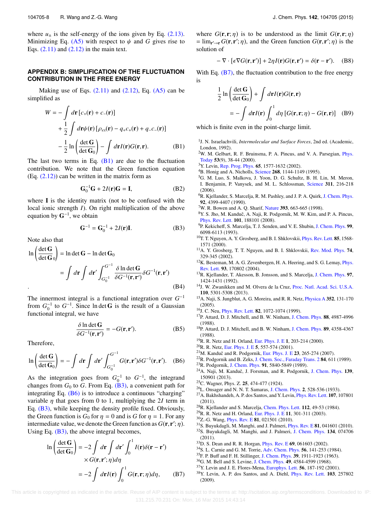where  $u_{\pm}$  is the self-energy of the ions given by Eq. [\(2.13\).](#page-3-3) Minimizing Eq. [\(A5\)](#page-7-4) with respect to  $\psi$  and G gives rise to Eqs.  $(2.11)$  and  $(2.12)$  in the main text.

# **APPENDIX B: SIMPLIFICATION OF THE FLUCTUATION CONTRIBUTION IN THE FREE ENERGY**

Making use of Eqs.  $(2.11)$  and  $(2.12)$ , Eq.  $(A5)$  can be simplified as

$$
W = -\int d\mathbf{r} [c_{+}(\mathbf{r}) + c_{-}(\mathbf{r})]
$$
  
+  $\frac{1}{2} \int d\mathbf{r} \psi(\mathbf{r}) [\rho_{ex}(\mathbf{r}) - q_{+}c_{+}(\mathbf{r}) + q_{-}c_{-}(\mathbf{r})]$   
-  $\frac{1}{2} \ln \left( \frac{\det \mathbf{G}}{\det \mathbf{G}_{0}} \right) - \int d\mathbf{r} I(\mathbf{r}) G(\mathbf{r}, \mathbf{r}).$  (B1)

The last two terms in Eq.  $(B1)$  are due to the fluctuation contribution. We note that the Green function equation  $(Eq. (2.12))$  $(Eq. (2.12))$  can be written in the matrix form as

$$
\mathbf{G}_0^{-1}\mathbf{G} + 2I(\mathbf{r})\mathbf{G} = \mathbf{I},\tag{B2}
$$

where I is the identity matrix (not to be confused with the local ionic strength *I*). On right multiplication of the above equation by  $G^{-1}$ , we obtain

$$
G^{-1} = G_0^{-1} + 2I(r)I.
$$
 (B3)

Note also that

$$
\ln\left(\frac{\det \mathbf{G}}{\det \mathbf{G}_0}\right) = \ln \det \mathbf{G} - \ln \det \mathbf{G}_0
$$

$$
= \int d\mathbf{r} \int d\mathbf{r}' \int_{G_0^{-1}}^{G^{-1}} \frac{\delta \ln \det \mathbf{G}}{\delta G^{-1}(\mathbf{r}, \mathbf{r}')} \delta G^{-1}(\mathbf{r}, \mathbf{r}')
$$
(B4)

The innermost integral is a functional integration over  $G^{-1}$ from  $G_0^{-1}$  to  $G^{-1}$ . Since ln det **G** is the result of a Gaussian functional integral, we have

$$
\frac{\delta \ln \det \mathbf{G}}{\delta G^{-1}(\mathbf{r}, \mathbf{r}')} = -G(\mathbf{r}, \mathbf{r}').
$$
 (B5)

Therefore,

$$
\ln\left(\frac{\det\mathbf{G}}{\det\mathbf{G}_0}\right) = -\int d\mathbf{r} \int d\mathbf{r}' \int_{G_0^{-1}}^{G^{-1}} G(\mathbf{r}, \mathbf{r}') \delta G^{-1}(\mathbf{r}, \mathbf{r}'). \quad (B6)
$$

As the integration goes from  $G_0^{-1}$  to  $G^{-1}$ , the integrand changes from  $G_0$  to  $G$ . From Eq. [\(B3\),](#page-8-31) a convenient path for integrating Eq. [\(B6\)](#page-8-32) is to introduce a continuous "charging" variable  $\eta$  that goes from 0 to 1, multiplying the 2*I* term in Eq. [\(B3\),](#page-8-31) while keeping the density profile fixed. Obviously, the Green function is  $G_0$  for  $\eta = 0$  and is  $G$  for  $\eta = 1$ . For any intermediate value, we denote the Green function as  $G(\mathbf{r}, \mathbf{r}'; \eta)$ .<br>Using Eq. (B3), the above integral becomes Using Eq.  $(B3)$ , the above integral becomes,

$$
\ln\left(\frac{\det\mathbf{G}}{\det\mathbf{G}_0}\right) = -2\int d\mathbf{r} \int d\mathbf{r}' \int_0^1 I(\mathbf{r})\delta(\mathbf{r} - \mathbf{r}')
$$
  
 
$$
\times G(\mathbf{r}, \mathbf{r}'; \eta) d\eta
$$
  
= -2\int d\mathbf{r} I(\mathbf{r}) \int\_0^1 G(\mathbf{r}, \mathbf{r}; \eta) d\eta, \qquad (B7)

where  $G(\mathbf{r}, \mathbf{r}; \eta)$  is to be understood as the limit  $G(\mathbf{r}, \mathbf{r}; \eta)$  $=\lim_{r'\to r} G(\mathbf{r}, \mathbf{r}'; \eta)$ , and the Green function  $G(\mathbf{r}, \mathbf{r}'; \eta)$  is the solution of solution of

$$
-\nabla \cdot [\epsilon \nabla G(\mathbf{r}, \mathbf{r}')] + 2\eta I(\mathbf{r}) G(\mathbf{r}, \mathbf{r}') = \delta(\mathbf{r} - \mathbf{r}').
$$
 (B8)

<span id="page-8-24"></span>With Eq. [\(B7\),](#page-8-33) the fluctuation contribution to the free energy is

$$
\frac{1}{2}\ln\left(\frac{\det\mathbf{G}}{\det\mathbf{G}_0}\right) + \int d\mathbf{r}I(\mathbf{r})G(\mathbf{r}, \mathbf{r})
$$

$$
= -\int d\mathbf{r}I(\mathbf{r})\int_0^1 d\eta \left[G(\mathbf{r}, \mathbf{r}; \eta) - G(\mathbf{r}, \mathbf{r})\right] \quad (B9)
$$

which is finite even in the point-charge limit.

- <span id="page-8-30"></span><span id="page-8-0"></span><sup>1</sup>J. N. Israelachvili, *Intermolecular and Surface Forces*, 2nd ed. (Academic, London, 1992).
- <sup>2</sup>W. M. Gelbart, R. F. Bruinsma, P. A. Pincus, and V. A. Parsegian, *[Phys.](http://dx.doi.org/10.1063/1.1325230)* [Today](http://dx.doi.org/10.1063/1.1325230) 53(9), 38-44 (2000).
- <sup>3</sup>Y. Levin, [Rep. Prog. Phys.](http://dx.doi.org/10.1088/0034-4885/65/11/201) 65, 1577-1632 (2002).
- <sup>4</sup>B. Honig and A. Nicholls, [Science](http://dx.doi.org/10.1126/science.7761829) 268, 1144-1149 (1995).
- <span id="page-8-1"></span><sup>5</sup>G. M. Luo, S. Malkova, J. Yoon, D. G. Schultz, B. H. Lin, M. Meron, I. Benjamin, P. Vanysek, and M. L. Schlossman, [Science](http://dx.doi.org/10.1126/science.1120392) 311, 216-218 (2006).
- <span id="page-8-2"></span><sup>6</sup>R. Kjellander, S. Marcelja, R. M. Pashley, and J. P. A. Quirk, [J. Chem. Phys.](http://dx.doi.org/10.1063/1.457750) 92, 4399-4407 (1990).
- <sup>7</sup>W. R. Bowen and A. Q. Sharif, [Nature](http://dx.doi.org/10.1038/31418) 393, 663-665 (1998).
- <span id="page-8-3"></span> $8Y.$  S. Jho, M. Kanduč, A. Naji, R. Podgornik, M. W. Kim, and P. A. Pincus, [Phys. Rev. Lett.](http://dx.doi.org/10.1103/PhysRevLett.101.188101) 101, 188101 (2008).
- <span id="page-8-31"></span><span id="page-8-4"></span><sup>9</sup>P. Kekicheff, S. Marcelja, T. J. Senden, and V. E. Shubin, [J. Chem. Phys.](http://dx.doi.org/10.1063/1.465906) 99, 6098-6113 (1993).
- <sup>10</sup>T. T. Nguyen, A. Y. Grosberg, and B. I. Shklovskii, *[Phys. Rev. Lett.](http://dx.doi.org/10.1103/PhysRevLett.85.1568)* 85, 1568-1571 (2000).
- <sup>11</sup>A. Y. Grosberg, T. T. Nguyen, and B. I. Shklovskii, [Rev. Mod. Phys.](http://dx.doi.org/10.1103/RevModPhys.74.329) 74, 329-345 (2002).
- <span id="page-8-5"></span><sup>12</sup>K. Besteman, M. A. G. Zevenbergen, H. A. Heering, and S. G. Lemay, *[Phys.](http://dx.doi.org/10.1103/PhysRevLett.93.170802)* [Rev. Lett.](http://dx.doi.org/10.1103/PhysRevLett.93.170802) 93, 170802 (2004).
- <span id="page-8-6"></span><sup>13</sup>R. Kjellander, T. Akesson, B. Jonsson, and S. Marcelja, [J. Chem. Phys.](http://dx.doi.org/10.1063/1.463218) 97, 1424-1431 (1992).
- <span id="page-8-7"></span><sup>14</sup>J. W. Zwanikken and M. Olvera de la Cruz, [Proc. Natl. Acad. Sci. U.S.A.](http://dx.doi.org/10.1073/pnas.1302406110) 110, 5301-5308 (2013).
- <span id="page-8-8"></span><sup>15</sup>A. Naji, S. Jungblut, A. G. Moreira, and R. R. Netz, *[Physica A](http://dx.doi.org/10.1016/j.physa.2004.12.029)* 352, 131-170 (2005).
- <sup>16</sup>J. C. Neu, *[Phys. Rev. Lett.](http://dx.doi.org/10.1103/PhysRevLett.82.1072)* **82**, 1072-1074 (1999).
- <span id="page-8-21"></span><sup>17</sup>P. Attard, D. J. Mitchell, and B. W. Ninham, [J. Chem. Phys.](http://dx.doi.org/10.1063/1.454678) 88, 4987-4996 (1988).
- <span id="page-8-22"></span><sup>18</sup>P. Attard, D. J. Mitchell, and B. W. Ninham, [J. Chem. Phys.](http://dx.doi.org/10.1063/1.454821) **89**, 4358-4367 (1988).
- <span id="page-8-10"></span><sup>19</sup>R. R. Netz and H. Orland, [Eur. Phys. J. E](http://dx.doi.org/10.1007/s101890050023) 1, 203-214 (2000).
- <span id="page-8-11"></span><sup>20</sup>R. R. Netz, [Eur. Phys. J. E](http://dx.doi.org/10.1007/s101890170039) 5, 557-574 (2001).
- <span id="page-8-32"></span><span id="page-8-12"></span><sup>21</sup>M. Kanduč and R. Podgornik, [Eur. Phys. J. E](http://dx.doi.org/10.1140/epje/i2007-10187-2)  $23$ , 265-274 (2007).
- <span id="page-8-25"></span><sup>22</sup>R. Podgornik and B. Zeks, [J. Chem. Soc., Faraday Trans. 2](http://dx.doi.org/10.1039/F29888400611) 84, 611 (1989).
- <sup>23</sup>R. Podgornik, [J. Chem. Phys.](http://dx.doi.org/10.1063/1.457535) 91, 5840-5849 (1989).
- <span id="page-8-9"></span><sup>24</sup>A. Naji, M. Kanduč, J. Forsman, and R. Podgornik, [J. Chem. Phys.](http://dx.doi.org/10.1063/1.4824681) **139**, 150901 (2013).
- <span id="page-8-13"></span><sup>25</sup>C. Wagner, Phys. Z. 25, 474-477 (1924).
- <span id="page-8-14"></span><sup>26</sup>L. Onsager and N. N. T. Samaras, [J. Chem. Phys.](http://dx.doi.org/10.1063/1.1749522) 2, 528-536 (1933).
- <span id="page-8-15"></span><sup>27</sup>A. Bakhshandeh, A. P. dos Santos, and Y. Levin, *[Phys. Rev. Lett.](http://dx.doi.org/10.1103/PhysRevLett.107.107801)* **107**, 107801 (2011).
- <span id="page-8-16"></span><sup>28</sup>R. Kjellander and S. Marcelja, [Chem. Phys. Lett.](http://dx.doi.org/10.1016/0009-2614(84)87039-6) **112**, 49-53 (1984).
- <span id="page-8-17"></span><sup>29</sup>R. R. Netz and H. Orland, [Eur. Phys. J. E](http://dx.doi.org/10.1140/epje/i2002-10159-0) 11, 301-311 (2003).
- <span id="page-8-18"></span><sup>30</sup>Z.-G. Wang, [Phys. Rev. E](http://dx.doi.org/10.1103/PhysRevE.81.021501) 81, 021501 (2010).
- <span id="page-8-20"></span><span id="page-8-19"></span><sup>31</sup>S. Buyukdagli, M. Manghi, and J. Palmeri, *[Phys. Rev. E](http://dx.doi.org/10.1103/physreve.81.041601)* **81**, 041601 (2010). <sup>32</sup>S. Buyukdagli, M. Manghi, and J. Palmeri, [J. Chem. Phys.](http://dx.doi.org/10.1103/physrevlett.105.158103) 134, 074706 (2011).
- <span id="page-8-26"></span><sup>33</sup>D. S. Dean and R. R. Horgan, [Phys. Rev. E](http://dx.doi.org/10.1103/PhysRevE.69.061603) 69, 061603 (2002).
- <span id="page-8-23"></span><sup>34</sup>S. L. Carnie and G. M. Torrie, [Adv. Chem. Phys.](http://dx.doi.org/10.1002/9780470142806.ch2) 56, 141-253 (1984).
- <sup>35</sup>F. P. Buff and F. H. Stillinger, [J. Chem. Phys.](http://dx.doi.org/10.1063/1.1734563) 39, 1911-1923 (1963).
- <span id="page-8-29"></span><sup>36</sup>G. M. Bell and S. Levine, [J. Chem. Phys.](http://dx.doi.org/10.1063/1.1669917) 49, 4584-4599 (1968).
- <span id="page-8-33"></span><span id="page-8-27"></span><sup>37</sup>Y. Levin and J. E. Flores-Mena, [Europhys. Lett.](http://dx.doi.org/10.1209/epl/i2001-00504-y) 56, 187-192 (2001).
- <span id="page-8-28"></span><sup>38</sup>Y. Levin, A. P. dos Santos, and A. Diehl, [Phys. Rev. Lett.](http://dx.doi.org/10.1103/PhysRevLett.103.257802) 103, 257802 (2009).